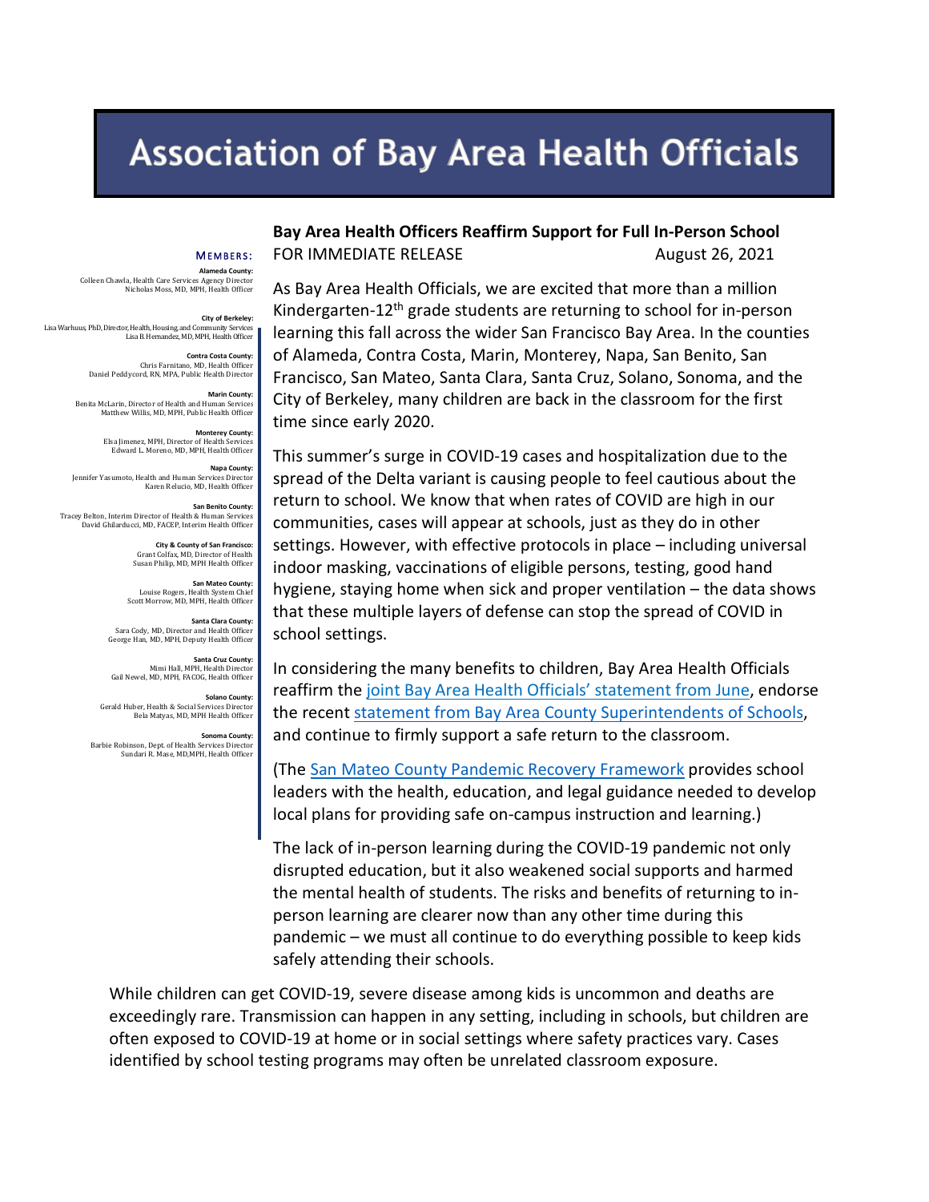## **Association of Bay Area Health Officials**

## MEMBERS :

**Alameda County:**  Colleen Chawla, Health Care Servic Nicholas Moss, MD, MPH, Health Officer

**City of Berkeley:**<br>Lisa Warhuus, PhD, Director, Health, Housing, and Community Services Lisa Warhuus, PhD, Director, Health, Housing, and Community Services Lisa B. Hernandez, MD, MPH, Health Officer

> **Contra Costa County:**  Chris Farnitano, MD, Health Officer Daniel Peddycord, RN, MPA, Public Health Director

**Marin County:**<br>Benita McLarin, Director of Health and Human Services Benita McLarin, Director of Health and Human Services Matthew Willis, MD, MPH, Public Health Officer

> **Monterey County:** Elsa Jimenez, MPH, Director of Health Services Edward L. Moreno, MD, MPH, Health Officer

**Napa County:**  Jennifer Yasumoto, Health and Human Services Director Karen Relucio, MD, Health Officer

**San Benito County:**  Tracey Belton, Interim Director of Health & Human Services David Ghilarducci, MD, FACEP, Interim Health Officer

> **City & County of San Francisco:**  Grant Colfax, MD, Director of Health Susan Philip, MD, MPH Health Officer

**San Mateo County:** Louise Rogers, Health System Chief Scott Morrow, MD, MPH, Health Officer

**Santa Clara County:**  Sara Cody, MD, Director and Health Officer George Han, MD, MPH, Deputy Health Officer

**Santa Cruz County:** Mimi Hall, MPH, Health Director Gail Newel, MD, MPH, FACOG, Health Officer

**Solano County:** Gerald Huber, Health & Social Services Director Bela Matyas, MD, MPH Health Officer

**Sonoma County:** Barbie Robinson, Dept. of Health Services Director Sundari R. Mase, MD,MPH, Health Officer

**Bay Area Health Officers Reaffirm Support for Full In-Person School**  FOR IMMEDIATE RELEASE August 26, 2021

As Bay Area Health Officials, we are excited that more than a million Kindergarten-12<sup>th</sup> grade students are returning to school for in-person learning this fall across the wider San Francisco Bay Area. In the counties of Alameda, Contra Costa, Marin, Monterey, Napa, San Benito, San Francisco, San Mateo, Santa Clara, Santa Cruz, Solano, Sonoma, and the City of Berkeley, many children are back in the classroom for the first time since early 2020.

This summer's surge in COVID-19 cases and hospitalization due to the spread of the Delta variant is causing people to feel cautious about the return to school. We know that when rates of COVID are high in our communities, cases will appear at schools, just as they do in other settings. However, with effective protocols in place – including universal indoor masking, vaccinations of eligible persons, testing, good hand hygiene, staying home when sick and proper ventilation – the data shows that these multiple layers of defense can stop the spread of COVID in school settings.

In considering the many benefits to children, Bay Area Health Officials [reaffirm the joint Bay Area Health Officials' statement from June,](https://cmo.smcgov.org/press-release/june-3-2021-bay-area-health-officers-support-full-person-school-fall) endorse the recent [statement from Bay Area County Superintendents](https://www.smcoe.org/about/county-office-of-education/news/bay-area-county-superintendents-announce-their-support-of-full,-in-person-learning.html) of Schools, and continue to firmly support a safe return to the classroom.

(The [San Mateo County Pandemic Recovery Framework](https://www.smcoe.org/assets/files/For%20Communities_FIL/COVID-19%20Resources_FIL/Pandemic_Recovery_Framework.pdf) provides school leaders with the health, education, and legal guidance needed to develop local plans for providing safe on-campus instruction and learning.)

The lack of in-person learning during the COVID-19 pandemic not only disrupted education, but it also weakened social supports and harmed the mental health of students. The risks and benefits of returning to inperson learning are clearer now than any other time during this pandemic – we must all continue to do everything possible to keep kids safely attending their schools.

While children can get COVID-19, severe disease among kids is uncommon and deaths are exceedingly rare. Transmission can happen in any setting, including in schools, but children are often exposed to COVID-19 at home or in social settings where safety practices vary. Cases identified by school testing programs may often be unrelated classroom exposure.